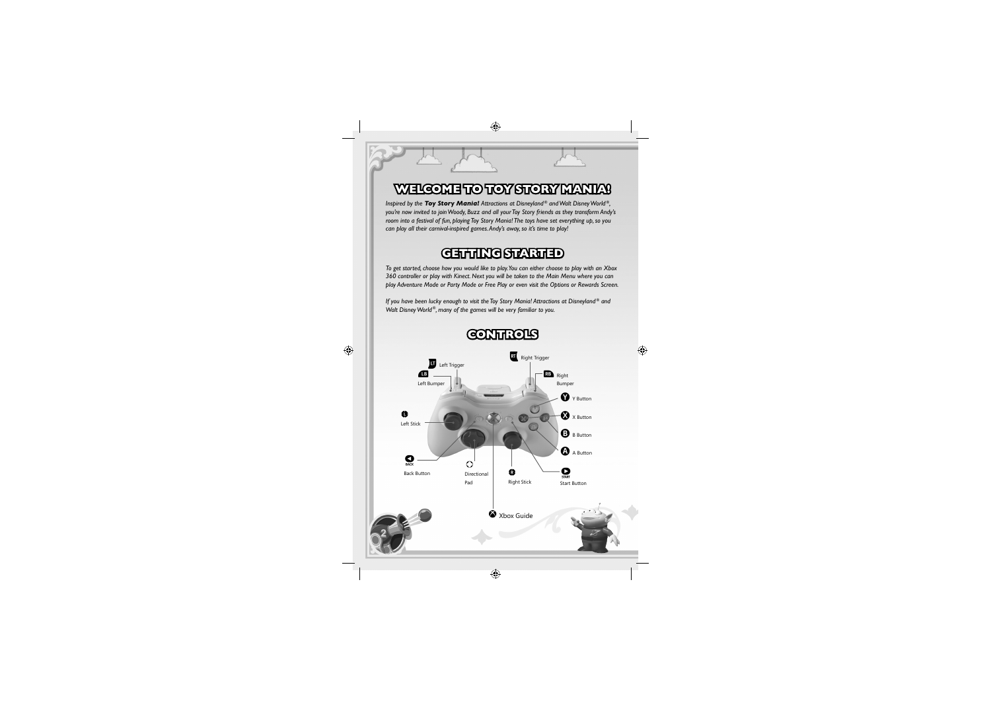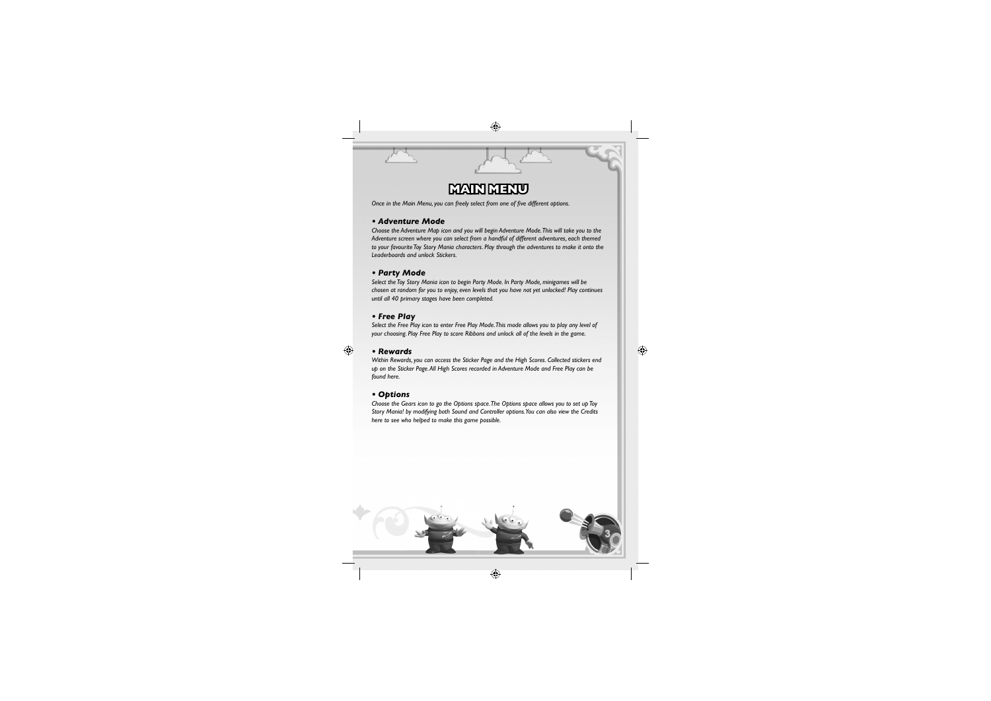# **MAIN MENU AIN**

 $\bigcirc$ 

*Once in the Main Menu, you can freely select from one of five different options.* 

## *• Adventure Mode*

*Choose the Adventure Map icon and you will begin Adventure Mode. This will take you to the Adventure screen where you can select from a handful of different adventures, each themed to your favourite Toy Story Mania characters. Play through the adventures to make it onto the Leaderboards and unlock Stickers.*

## *• Party Mode*

#### $\bigoplus$ *• Rewards*

*Select the Toy Story Mania icon to begin Party Mode. In Party Mode, minigames will be chosen at random for you to enjoy, even levels that you have not yet unlocked! Play continues until all 40 primary stages have been completed.*

# *• Free Play*

*Select the Free Play icon to enter Free Play Mode. This mode allows you to play any level of your choosing. Play Free Play to score Ribbons and unlock all of the levels in the game.*

*Within Rewards, you can access the Sticker Page and the High Scores. Collected stickers end up on the Sticker Page. All High Scores recorded in Adventure Mode and Free Play can be found here.*

 $\bigoplus$ 

# *• Options*

*Choose the Gears icon to go the Options space. The Options space allows you to set up Toy Story Mania! by modifying both Sound and Controller options. You can also view the Credits here to see who helped to make this game possible.*